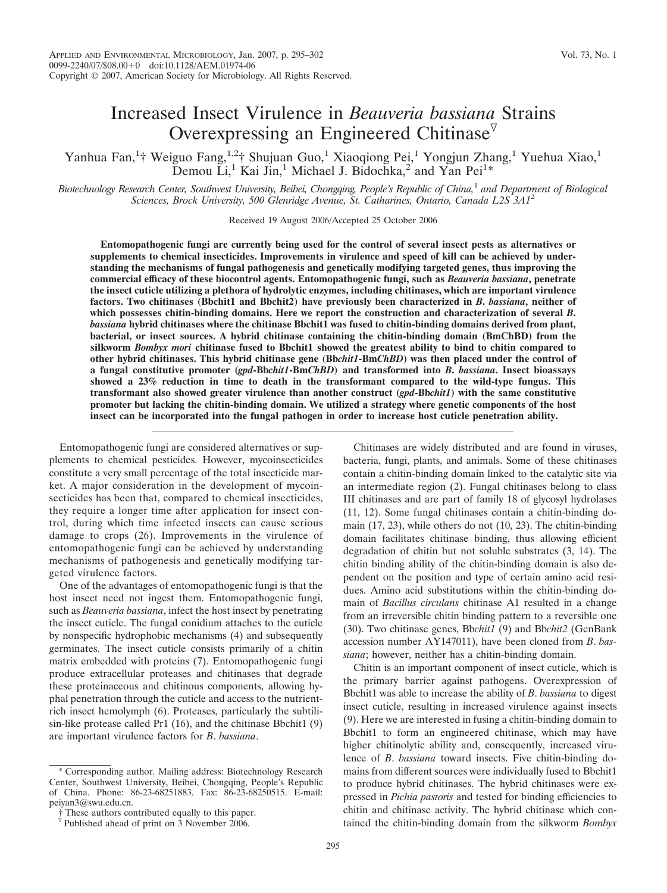# Increased Insect Virulence in *Beauveria bassiana* Strains Overexpressing an Engineered Chitinase $\mathbb{V}$

Yanhua Fan,<sup>1</sup>† Weiguo Fang,<sup>1,2</sup>† Shujuan Guo,<sup>1</sup> Xiaoqiong Pei,<sup>1</sup> Yongjun Zhang,<sup>1</sup> Yuehua Xiao,<sup>1</sup> Demou  $\tilde{Li}$ ,<sup>1</sup> Kai Jin,<sup>1</sup> Michael J. Bidochka,<sup>2</sup> and Yan Pei<sup>1\*</sup>

*Biotechnology Research Center, Southwest University, Beibei, Chongqing, People's Republic of China,*<sup>1</sup> *and Department of Biological Sciences, Brock University, 500 Glenridge Avenue, St. Catharines, Ontario, Canada L2S 3A1*<sup>2</sup>

Received 19 August 2006/Accepted 25 October 2006

**Entomopathogenic fungi are currently being used for the control of several insect pests as alternatives or supplements to chemical insecticides. Improvements in virulence and speed of kill can be achieved by understanding the mechanisms of fungal pathogenesis and genetically modifying targeted genes, thus improving the commercial efficacy of these biocontrol agents. Entomopathogenic fungi, such as** *Beauveria bassiana***, penetrate the insect cuticle utilizing a plethora of hydrolytic enzymes, including chitinases, which are important virulence factors. Two chitinases (Bbchit1 and Bbchit2) have previously been characterized in** *B***.** *bassiana***, neither of which possesses chitin-binding domains. Here we report the construction and characterization of several** *B***.** *bassiana* **hybrid chitinases where the chitinase Bbchit1 was fused to chitin-binding domains derived from plant, bacterial, or insect sources. A hybrid chitinase containing the chitin-binding domain (BmChBD) from the silkworm** *Bombyx mori* **chitinase fused to Bbchit1 showed the greatest ability to bind to chitin compared to other hybrid chitinases. This hybrid chitinase gene (Bb***chit1***-Bm***ChBD***) was then placed under the control of a fungal constitutive promoter (***gpd***-Bb***chit1***-Bm***ChBD***) and transformed into** *B***.** *bassiana***. Insect bioassays showed a 23% reduction in time to death in the transformant compared to the wild-type fungus. This transformant also showed greater virulence than another construct (***gpd***-Bb***chit1***) with the same constitutive promoter but lacking the chitin-binding domain. We utilized a strategy where genetic components of the host insect can be incorporated into the fungal pathogen in order to increase host cuticle penetration ability.**

Entomopathogenic fungi are considered alternatives or supplements to chemical pesticides. However, mycoinsecticides constitute a very small percentage of the total insecticide market. A major consideration in the development of mycoinsecticides has been that, compared to chemical insecticides, they require a longer time after application for insect control, during which time infected insects can cause serious damage to crops (26). Improvements in the virulence of entomopathogenic fungi can be achieved by understanding mechanisms of pathogenesis and genetically modifying targeted virulence factors.

One of the advantages of entomopathogenic fungi is that the host insect need not ingest them. Entomopathogenic fungi, such as *Beauveria bassiana*, infect the host insect by penetrating the insect cuticle. The fungal conidium attaches to the cuticle by nonspecific hydrophobic mechanisms (4) and subsequently germinates. The insect cuticle consists primarily of a chitin matrix embedded with proteins (7). Entomopathogenic fungi produce extracellular proteases and chitinases that degrade these proteinaceous and chitinous components, allowing hyphal penetration through the cuticle and access to the nutrientrich insect hemolymph (6). Proteases, particularly the subtilisin-like protease called Pr1 (16), and the chitinase Bbchit1 (9) are important virulence factors for *B*. *bassiana*.

Chitinases are widely distributed and are found in viruses, bacteria, fungi, plants, and animals. Some of these chitinases contain a chitin-binding domain linked to the catalytic site via an intermediate region (2). Fungal chitinases belong to class III chitinases and are part of family 18 of glycosyl hydrolases (11, 12). Some fungal chitinases contain a chitin-binding domain (17, 23), while others do not (10, 23). The chitin-binding domain facilitates chitinase binding, thus allowing efficient degradation of chitin but not soluble substrates (3, 14). The chitin binding ability of the chitin-binding domain is also dependent on the position and type of certain amino acid residues. Amino acid substitutions within the chitin-binding domain of *Bacillus circulans* chitinase A1 resulted in a change from an irreversible chitin binding pattern to a reversible one (30). Two chitinase genes, Bb*chit1* (9) and Bb*chit2* (GenBank accession number AY147011), have been cloned from *B*. *bassiana*; however, neither has a chitin-binding domain.

Chitin is an important component of insect cuticle, which is the primary barrier against pathogens. Overexpression of Bbchit1 was able to increase the ability of *B*. *bassiana* to digest insect cuticle, resulting in increased virulence against insects (9). Here we are interested in fusing a chitin-binding domain to Bbchit1 to form an engineered chitinase, which may have higher chitinolytic ability and, consequently, increased virulence of *B*. *bassiana* toward insects. Five chitin-binding domains from different sources were individually fused to Bbchit1 to produce hybrid chitinases. The hybrid chitinases were expressed in *Pichia pastoris* and tested for binding efficiencies to chitin and chitinase activity. The hybrid chitinase which contained the chitin-binding domain from the silkworm *Bombyx*

<sup>\*</sup> Corresponding author. Mailing address: Biotechnology Research Center, Southwest University, Beibei, Chongqing, People's Republic of China. Phone: 86-23-68251883. Fax: 86-23-68250515. E-mail: peiyan3@swu.edu.cn.

<sup>†</sup> These authors contributed equally to this paper.

 $\overline{v}$  Published ahead of print on 3 November 2006.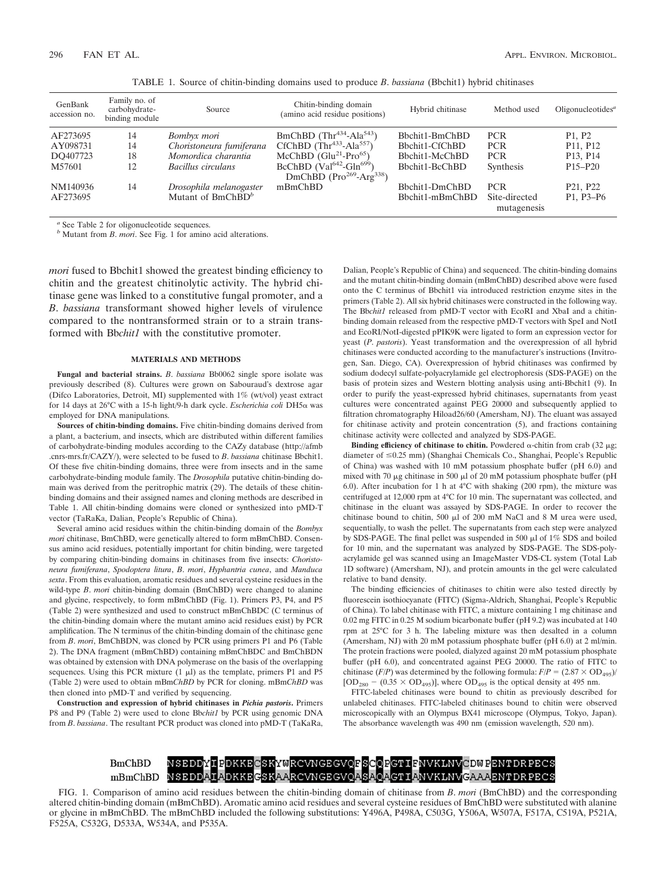| GenBank<br>accession no. | Family no. of<br>carbohydrate-<br>binding module | Source                        | Chitin-binding domain<br>(amino acid residue positions)                | Hybrid chitinase | Method used                  | Oligonucleotides <sup><i>a</i></sup>            |
|--------------------------|--------------------------------------------------|-------------------------------|------------------------------------------------------------------------|------------------|------------------------------|-------------------------------------------------|
| AF273695                 | 14                                               | Bombyx mori                   | BmChBD $(Thr434-Ala543)$                                               | Bbchit1-BmChBD   | <b>PCR</b>                   | P <sub>1</sub> , P <sub>2</sub>                 |
| AY098731                 | 14                                               | Choristoneura fumiferana      | CfChBD $(Thr433-Ala557)$                                               | Bbchit1-CfChBD   | <b>PCR</b>                   | P <sub>11</sub> , P <sub>12</sub>               |
| DO407723                 | 18                                               | Momordica charantia           | McChBD $(Glu^{21}-Pro^{65})$                                           | Bbchit1-McChBD   | <b>PCR</b>                   | P <sub>13</sub> , P <sub>14</sub>               |
| M57601                   | 12                                               | Bacillus circulans            | BcChBD ( $Val^{642}$ -Gln <sup>699</sup> )<br>DmChBD $(Pro269-Arg338)$ | Bbchit1-BcChBD   | Synthesis                    | P <sub>15</sub> -P <sub>20</sub>                |
| NM140936                 | 14                                               | Drosophila melanogaster       | mBmChBD                                                                | Bbchit1-DmChBD   | <b>PCR</b>                   | P <sub>21</sub> , P <sub>22</sub>               |
| AF273695                 |                                                  | Mutant of BmChBD <sup>b</sup> |                                                                        | Bbchit1-mBmChBD  | Site-directed<br>mutagenesis | P <sub>1</sub> , P <sub>3</sub> -P <sub>6</sub> |

TABLE 1. Source of chitin-binding domains used to produce *B*. *bassiana* (Bbchit1) hybrid chitinases

*<sup>a</sup>* See Table 2 for oligonucleotide sequences.

*<sup>b</sup>* Mutant from *B*. *mori*. See Fig. 1 for amino acid alterations.

*mori* fused to Bbchit1 showed the greatest binding efficiency to chitin and the greatest chitinolytic activity. The hybrid chitinase gene was linked to a constitutive fungal promoter, and a *B*. *bassiana* transformant showed higher levels of virulence compared to the nontransformed strain or to a strain transformed with Bb*chit1* with the constitutive promoter.

#### **MATERIALS AND METHODS**

**Fungal and bacterial strains.** *B*. *bassiana* Bb0062 single spore isolate was previously described (8). Cultures were grown on Sabouraud's dextrose agar (Difco Laboratories, Detroit, MI) supplemented with 1% (wt/vol) yeast extract for 14 days at 26°C with a 15-h light/9-h dark cycle. *Escherichia coli* DH5α was employed for DNA manipulations.

**Sources of chitin-binding domains.** Five chitin-binding domains derived from a plant, a bacterium, and insects, which are distributed within different families of carbohydrate-binding modules according to the CAZy database (http://afmb .cnrs-mrs.fr/CAZY/), were selected to be fused to *B*. *bassiana* chitinase Bbchit1. Of these five chitin-binding domains, three were from insects and in the same carbohydrate-binding module family. The *Drosophila* putative chitin-binding domain was derived from the peritrophic matrix (29). The details of these chitinbinding domains and their assigned names and cloning methods are described in Table 1. All chitin-binding domains were cloned or synthesized into pMD-T vector (TaRaKa, Dalian, People's Republic of China).

Several amino acid residues within the chitin-binding domain of the *Bombyx mori* chitinase, BmChBD, were genetically altered to form mBmChBD. Consensus amino acid residues, potentially important for chitin binding, were targeted by comparing chitin-binding domains in chitinases from five insects: *Choristoneura fumiferana*, *Spodoptera litura*, *B*. *mori*, *Hyphantria cunea*, and *Manduca sexta*. From this evaluation, aromatic residues and several cysteine residues in the wild-type *B*. *mori* chitin-binding domain (BmChBD) were changed to alanine and glycine, respectively, to form mBmChBD (Fig. 1). Primers P3, P4, and P5 (Table 2) were synthesized and used to construct mBmChBDC (C terminus of the chitin-binding domain where the mutant amino acid residues exist) by PCR amplification. The N terminus of the chitin-binding domain of the chitinase gene from *B*. *mori*, BmChBDN, was cloned by PCR using primers P1 and P6 (Table 2). The DNA fragment (mBmChBD) containing mBmChBDC and BmChBDN was obtained by extension with DNA polymerase on the basis of the overlapping sequences. Using this PCR mixture  $(1 \mu l)$  as the template, primers P1 and P5 (Table 2) were used to obtain mBm*ChBD* by PCR for cloning. mBm*ChBD* was then cloned into pMD-T and verified by sequencing.

**Construction and expression of hybrid chitinases in** *Pichia pastoris***.** Primers P8 and P9 (Table 2) were used to clone Bb*chit1* by PCR using genomic DNA from *B*. *bassiana*. The resultant PCR product was cloned into pMD-T (TaKaRa,

Dalian, People's Republic of China) and sequenced. The chitin-binding domains and the mutant chitin-binding domain (mBmChBD) described above were fused onto the C terminus of Bbchit1 via introduced restriction enzyme sites in the primers (Table 2). All six hybrid chitinases were constructed in the following way. The Bb*chit1* released from pMD-T vector with EcoRI and XbaI and a chitinbinding domain released from the respective pMD-T vectors with SpeI and NotI and EcoRI/NotI-digested pPIK9K were ligated to form an expression vector for yeast (*P*. *pastoris*). Yeast transformation and the overexpression of all hybrid chitinases were conducted according to the manufacturer's instructions (Invitrogen, San. Diego, CA). Overexpression of hybrid chitinases was confirmed by sodium dodecyl sulfate-polyacrylamide gel electrophoresis (SDS-PAGE) on the basis of protein sizes and Western blotting analysis using anti-Bbchit1 (9). In order to purify the yeast-expressed hybrid chitinases, supernatants from yeast cultures were concentrated against PEG 20000 and subsequently applied to filtration chromatography Hiload26/60 (Amersham, NJ). The eluant was assayed for chitinase activity and protein concentration (5), and fractions containing chitinase activity were collected and analyzed by SDS-PAGE.

**Binding efficiency of chitinase to chitin.** Powdered  $\alpha$ -chitin from crab (32  $\mu$ g; diameter of  $\leq 0.25$  mm) (Shanghai Chemicals Co., Shanghai, People's Republic of China) was washed with 10 mM potassium phosphate buffer (pH 6.0) and mixed with 70  $\mu$ g chitinase in 500  $\mu$ l of 20 mM potassium phosphate buffer (pH 6.0). After incubation for 1 h at 4°C with shaking (200 rpm), the mixture was centrifuged at 12,000 rpm at 4°C for 10 min. The supernatant was collected, and chitinase in the eluant was assayed by SDS-PAGE. In order to recover the chitinase bound to chitin, 500  $\mu$ l of 200 mM NaCl and 8 M urea were used, sequentially, to wash the pellet. The supernatants from each step were analyzed by SDS-PAGE. The final pellet was suspended in 500  $\mu$ l of 1% SDS and boiled for 10 min, and the supernatant was analyzed by SDS-PAGE. The SDS-polyacrylamide gel was scanned using an ImageMaster VDS-CL system (Total Lab 1D software) (Amersham, NJ), and protein amounts in the gel were calculated relative to band density.

The binding efficiencies of chitinases to chitin were also tested directly by fluorescein isothiocyanate (FITC) (Sigma-Aldrich, Shanghai, People's Republic of China). To label chitinase with FITC, a mixture containing 1 mg chitinase and 0.02 mg FITC in 0.25 M sodium bicarbonate buffer (pH 9.2) was incubated at 140 rpm at 25°C for 3 h. The labeling mixture was then desalted in a column (Amersham, NJ) with 20 mM potassium phosphate buffer (pH 6.0) at 2 ml/min. The protein fractions were pooled, dialyzed against 20 mM potassium phosphate buffer (pH 6.0), and concentrated against PEG 20000. The ratio of FITC to chitinase (*F*/*P*) was determined by the following formula:  $F/P = (2.87 \times OD_{495})/$  $[OD<sub>280</sub> - (0.35 \times OD<sub>495</sub>)]$ , where  $OD<sub>495</sub>$  is the optical density at 495 nm.

FITC-labeled chitinases were bound to chitin as previously described for unlabeled chitinases. FITC-labeled chitinases bound to chitin were observed microscopically with an Olympus BX41 microscope (Olympus, Tokyo, Japan). The absorbance wavelength was 490 nm (emission wavelength, 520 nm).

#### NSEDDYIPDKKECSKYWRCVNGEGVOFSCOPGTIFNVKLNV<mark>CDWPENTDRPECS</mark>  $BmChBD$ NSEDDAIADKKEGSKAARCVNGEGVQASAQAGTIANVKLNVGAAAENTDRPECS mBmChBD

FIG. 1. Comparison of amino acid residues between the chitin-binding domain of chitinase from *B*. *mori* (BmChBD) and the corresponding altered chitin-binding domain (mBmChBD). Aromatic amino acid residues and several cysteine residues of BmChBD were substituted with alanine or glycine in mBmChBD. The mBmChBD included the following substitutions: Y496A, P498A, C503G, Y506A, W507A, F517A, C519A, P521A, F525A, C532G, D533A, W534A, and P535A.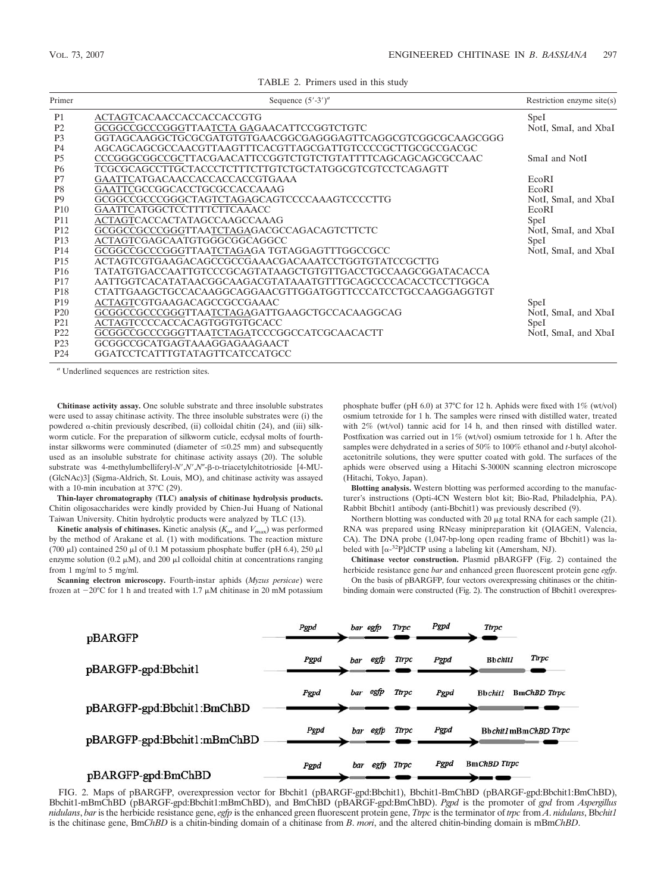TABLE 2. Primers used in this study

| Primer          | Sequence $(5'$ -3' $)^a$                                    | Restriction enzyme site $(s)$ |
|-----------------|-------------------------------------------------------------|-------------------------------|
| P <sub>1</sub>  | ACTAGTCACAACCACCACCACCGTG                                   | SpeI                          |
| P <sub>2</sub>  | GCGGCCGCCCGGGTTAATCTA GAGAACATTCCGGTCTGTC                   | NotI, SmaI, and XbaI          |
| P <sub>3</sub>  | GGTAGCAAGGCTGCGCGATGTGTGAACGGCGAGGGAGTTCAGGCGTCGGCGCAAGCGGG |                               |
| P <sub>4</sub>  | AGCAGCAGCCCCAACGTTAAGTTTCACGTTAGCGATTGTCCCCGCTTGCGCCGACGC   |                               |
| P <sub>5</sub>  | CCCGGGGCGGCCGCTTACGAACATTCCGGTCTGTCTGTATTTTCAGCAGCAGCGCCAAC | SmaI and NotI                 |
| <b>P6</b>       | TCGCGCAGCCTTGCTACCCTCTTTCTTGTCTGCTATGGCGTCGTCCTCAGAGTT      |                               |
| P7              | GAATTCATGACAACCACCACCACCGTGAAA                              | EcoRI                         |
| P <sub>8</sub>  | GAATTCGCCGGCACCTGCGCCACCAAAG                                | EcoRI                         |
| P <sub>9</sub>  | GCGGCCGCCCGGGCTAGTCTAGAGCAGTCCCCAAAGTCCCCTTG                | NotI, SmaI, and XbaI          |
| <b>P10</b>      | GAATTCATGGCTCCTTTTCTTCAAACC                                 | EcoRI                         |
| <b>P11</b>      | ACTAGTCACCACTATAGCCAAGCCAAAG                                | SpeI                          |
| P <sub>12</sub> | GCGGCCGCCCGGGTTAATCTAGAGACGCCAGACAGTCTTCTC                  | NotI, SmaI, and XbaI          |
| P <sub>13</sub> | ACTAGTCGAGCAATGTGGGCGGCAGGCC                                | SpeI                          |
| P <sub>14</sub> | GCGGCCGCCCGGGTTAATCTAGAGA TGTAGGAGTTTGGCCGCC                | NotI, SmaI, and XbaI          |
| P <sub>15</sub> | ACTAGTCGTGAAGACAGCCGCCGAAACGACAAATCCTGGTGTATCCGCTTG         |                               |
| P <sub>16</sub> | TATATGTGACCAATTGTCCCGCAGTATAAGCTGTGTTGACCTGCCAAGCGGATACACCA |                               |
| P <sub>17</sub> | AATTGGTCACATATAACGGCAAGACGTATAAATGTTTGCAGCCCCACACCTCCTTGGCA |                               |
| P <sub>18</sub> | CTATTGAAGCTGCCACAAGGCAGGAACGTTGGATGGTTCCCATCCTGCCAAGGAGGTGT |                               |
| P <sub>19</sub> | ACTAGTCGTGAAGACAGCCGCCGAAAC                                 | SpeI                          |
| P <sub>20</sub> | GCGGCCGCCCGGGTTAATCTAGAGATTGAAGCTGCCACAAGGCAG               | NotI, SmaI, and XbaI          |
| P <sub>21</sub> | ACTAGTCCCCACCACAGTGGTGTGCACC                                | Spel                          |
| P <sub>22</sub> | GCGGCCGCCCGGGTTAATCTAGATCCCGGCCATCGCAACACTT                 | NotI, SmaI, and XbaI          |
| P <sub>23</sub> | GCGGCCGCATGAGTAAAGGAGAAGAACT                                |                               |
| P <sub>24</sub> | GGATCCTCATTTGTATAGTTCATCCATGCC                              |                               |

*<sup>a</sup>* Underlined sequences are restriction sites.

**Chitinase activity assay.** One soluble substrate and three insoluble substrates were used to assay chitinase activity. The three insoluble substrates were (i) the powdered  $\alpha$ -chitin previously described, (ii) colloidal chitin (24), and (iii) silkworm cuticle. For the preparation of silkworm cuticle, ecdysal molts of fourthinstar silkworms were comminuted (diameter of  $\leq 0.25$  mm) and subsequently used as an insoluble substrate for chitinase activity assays (20). The soluble substrate was 4-methylumbelliferyl-*N'*,*N'*,*N'*-β-D-triacetylchitotrioside [4-MU-(GlcNAc)3] (Sigma-Aldrich, St. Louis, MO), and chitinase activity was assayed with a 10-min incubation at 37°C (29).

**Thin-layer chromatography (TLC) analysis of chitinase hydrolysis products.** Chitin oligosaccharides were kindly provided by Chien-Jui Huang of National Taiwan University. Chitin hydrolytic products were analyzed by TLC (13).

**Kinetic analysis of chitinases.** Kinetic analysis  $(K_m$  and  $V_{\text{max}})$  was performed by the method of Arakane et al. (1) with modifications. The reaction mixture (700  $\mu$ l) contained 250  $\mu$ l of 0.1 M potassium phosphate buffer (pH 6.4), 250  $\mu$ l enzyme solution (0.2  $\mu$ M), and 200  $\mu$ l colloidal chitin at concentrations ranging from 1 mg/ml to 5 mg/ml.

**Scanning electron microscopy.** Fourth-instar aphids (*Myzus persicae*) were frozen at  $-20^{\circ}$ C for 1 h and treated with 1.7  $\mu$ M chitinase in 20 mM potassium phosphate buffer (pH 6.0) at 37°C for 12 h. Aphids were fixed with 1% (wt/vol) osmium tetroxide for 1 h. The samples were rinsed with distilled water, treated with 2% (wt/vol) tannic acid for 14 h, and then rinsed with distilled water. Postfixation was carried out in 1% (wt/vol) osmium tetroxide for 1 h. After the samples were dehydrated in a series of 50% to 100% ethanol and *t*-butyl alcoholacetonitrile solutions, they were sputter coated with gold. The surfaces of the aphids were observed using a Hitachi S-3000N scanning electron microscope (Hitachi, Tokyo, Japan).

**Blotting analysis.** Western blotting was performed according to the manufacturer's instructions (Opti-4CN Western blot kit; Bio-Rad, Philadelphia, PA). Rabbit Bbchit1 antibody (anti-Bbchit1) was previously described (9).

Northern blotting was conducted with 20  $\mu$ g total RNA for each sample (21). RNA was prepared using RNeasy minipreparation kit (QIAGEN, Valencia, CA). The DNA probe (1,047-bp-long open reading frame of Bbchit1) was labeled with  $[\alpha^{-32}P]$ dCTP using a labeling kit (Amersham, NJ).

**Chitinase vector construction.** Plasmid pBARGFP (Fig. 2) contained the herbicide resistance gene *bar* and enhanced green fluorescent protein gene *egfp*. On the basis of pBARGFP, four vectors overexpressing chitinases or the chitin-

binding domain were constructed (Fig. 2). The construction of Bbchit1 overexpres-



FIG. 2. Maps of pBARGFP, overexpression vector for Bbchit1 (pBARGF-gpd:Bbchit1), Bbchit1-BmChBD (pBARGF-gpd:Bbchit1:BmChBD), Bbchit1-mBmChBD (pBARGF-gpd:Bbchit1:mBmChBD), and BmChBD (pBARGF-gpd:BmChBD). *Pgpd* is the promoter of *gpd* from *Aspergillus nidulans*, *bar* is the herbicide resistance gene, *egfp* is the enhanced green fluorescent protein gene, *Ttrpc* is the terminator of *trpc* from *A*. *nidulans*, Bb*chit1* is the chitinase gene, Bm*ChBD* is a chitin-binding domain of a chitinase from *B*. *mori*, and the altered chitin-binding domain is mBm*ChBD*.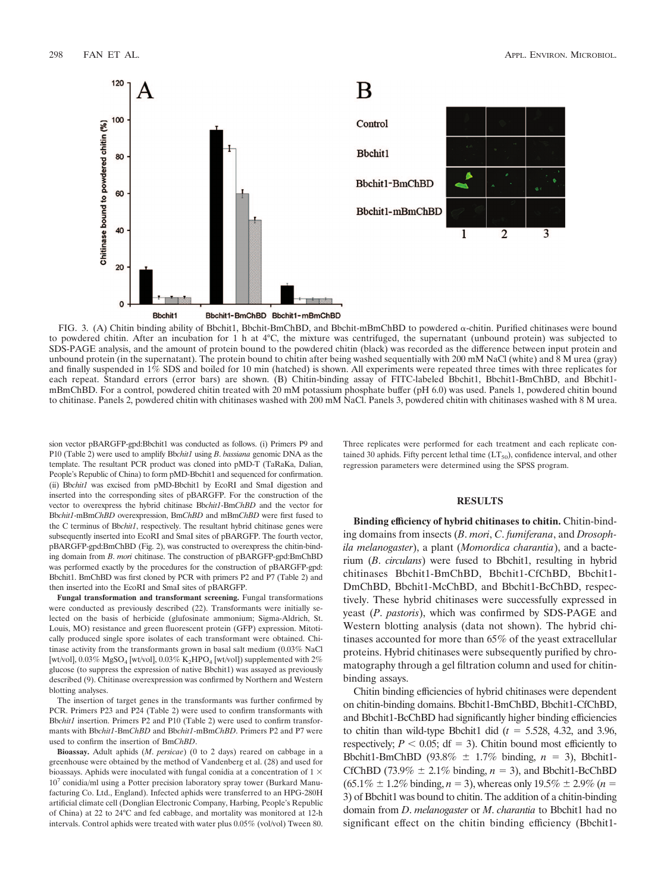

FIG. 3. (A) Chitin binding ability of Bbchit1, Bbchit-BmChBD, and Bbchit-mBmChBD to powdered  $\alpha$ -chitin. Purified chitinases were bound to powdered chitin. After an incubation for 1 h at 4°C, the mixture was centrifuged, the supernatant (unbound protein) was subjected to SDS-PAGE analysis, and the amount of protein bound to the powdered chitin (black) was recorded as the difference between input protein and unbound protein (in the supernatant). The protein bound to chitin after being washed sequentially with 200 mM NaCl (white) and 8 M urea (gray) and finally suspended in 1% SDS and boiled for 10 min (hatched) is shown. All experiments were repeated three times with three replicates for each repeat. Standard errors (error bars) are shown. (B) Chitin-binding assay of FITC-labeled Bbchit1, Bbchit1-BmChBD, and Bbchit1mBmChBD. For a control, powdered chitin treated with 20 mM potassium phosphate buffer (pH 6.0) was used. Panels 1, powdered chitin bound to chitinase. Panels 2, powdered chitin with chitinases washed with 200 mM NaCl. Panels 3, powdered chitin with chitinases washed with 8 M urea.

sion vector pBARGFP-gpd:Bbchit1 was conducted as follows. (i) Primers P9 and P10 (Table 2) were used to amplify Bb*chit1* using *B*. *bassiana* genomic DNA as the template. The resultant PCR product was cloned into pMD-T (TaRaKa, Dalian, People's Republic of China) to form pMD-Bbchit1 and sequenced for confirmation. (ii) Bb*chit1* was excised from pMD-Bbchit1 by EcoRI and SmaI digestion and inserted into the corresponding sites of pBARGFP. For the construction of the vector to overexpress the hybrid chitinase Bb*chit1*-Bm*ChBD* and the vector for Bb*chit1*-mBm*ChBD* overexpression, Bm*ChBD* and mBm*ChBD* were first fused to the C terminus of Bb*chit1*, respectively. The resultant hybrid chitinase genes were subsequently inserted into EcoRI and SmaI sites of pBARGFP. The fourth vector, pBARGFP-gpd:BmChBD (Fig. 2), was constructed to overexpress the chitin-binding domain from *B*. *mori* chitinase. The construction of pBARGFP-gpd:BmChBD was performed exactly by the procedures for the construction of pBARGFP-gpd: Bbchit1. BmChBD was first cloned by PCR with primers P2 and P7 (Table 2) and then inserted into the EcoRI and SmaI sites of pBARGFP.

**Fungal transformation and transformant screening.** Fungal transformations were conducted as previously described (22). Transformants were initially selected on the basis of herbicide (glufosinate ammonium; Sigma-Aldrich, St. Louis, MO) resistance and green fluorescent protein (GFP) expression. Mitotically produced single spore isolates of each transformant were obtained. Chitinase activity from the transformants grown in basal salt medium (0.03% NaCl [wt/vol],  $0.03\%$  MgSO<sub>4</sub> [wt/vol],  $0.03\%$  K<sub>2</sub>HPO<sub>4</sub> [wt/vol]) supplemented with 2% glucose (to suppress the expression of native Bbchit1) was assayed as previously described (9). Chitinase overexpression was confirmed by Northern and Western blotting analyses.

The insertion of target genes in the transformants was further confirmed by PCR. Primers P23 and P24 (Table 2) were used to confirm transformants with Bb*chit1* insertion. Primers P2 and P10 (Table 2) were used to confirm transformants with Bb*chit1*-Bm*ChBD* and Bb*chit1*-mBm*ChBD*. Primers P2 and P7 were used to confirm the insertion of Bm*ChBD*.

**Bioassay.** Adult aphids (*M*. *persicae*) (0 to 2 days) reared on cabbage in a greenhouse were obtained by the method of Vandenberg et al. (28) and used for bioassays. Aphids were inoculated with fungal conidia at a concentration of 1  $\times$ 10<sup>7</sup> conidia/ml using a Potter precision laboratory spray tower (Burkard Manufacturing Co. Ltd., England). Infected aphids were transferred to an HPG-280H artificial climate cell (Donglian Electronic Company, Harbing, People's Republic of China) at 22 to 24°C and fed cabbage, and mortality was monitored at 12-h intervals. Control aphids were treated with water plus 0.05% (vol/vol) Tween 80.

Three replicates were performed for each treatment and each replicate contained 30 aphids. Fifty percent lethal time  $(LT<sub>50</sub>)$ , confidence interval, and other regression parameters were determined using the SPSS program.

## **RESULTS**

**Binding efficiency of hybrid chitinases to chitin.** Chitin-binding domains from insects (*B*. *mori*, *C*. *fumiferana*, and *Drosophila melanogaster*), a plant (*Momordica charantia*), and a bacterium (*B*. *circulans*) were fused to Bbchit1, resulting in hybrid chitinases Bbchit1-BmChBD, Bbchit1-CfChBD, Bbchit1- DmChBD, Bbchit1-McChBD, and Bbchit1-BcChBD, respectively. These hybrid chitinases were successfully expressed in yeast (*P*. *pastoris*), which was confirmed by SDS-PAGE and Western blotting analysis (data not shown). The hybrid chitinases accounted for more than 65% of the yeast extracellular proteins. Hybrid chitinases were subsequently purified by chromatography through a gel filtration column and used for chitinbinding assays.

Chitin binding efficiencies of hybrid chitinases were dependent on chitin-binding domains. Bbchit1-BmChBD, Bbchit1-CfChBD, and Bbchit1-BcChBD had significantly higher binding efficiencies to chitin than wild-type Bbchit1 did  $(t = 5.528, 4.32,$  and 3.96, respectively;  $P < 0.05$ ; df = 3). Chitin bound most efficiently to Bbchit1-BmChBD (93.8%  $\pm$  1.7% binding,  $n = 3$ ), Bbchit1-CfChBD (73.9%  $\pm$  2.1% binding,  $n = 3$ ), and Bbchit1-BcChBD  $(65.1\% \pm 1.2\% \text{ binding}, n = 3)$ , whereas only  $19.5\% \pm 2.9\% (n = 1.2\% \text{ binding})$ 3) of Bbchit1 was bound to chitin. The addition of a chitin-binding domain from *D*. *melanogaster* or *M*. *charantia* to Bbchit1 had no significant effect on the chitin binding efficiency (Bbchit1-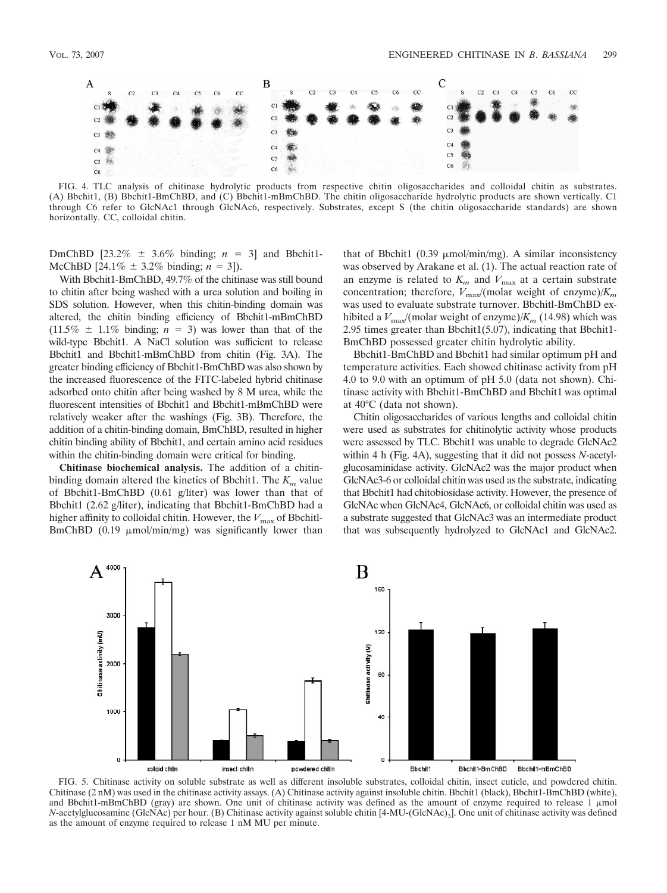

FIG. 4. TLC analysis of chitinase hydrolytic products from respective chitin oligosaccharides and colloidal chitin as substrates. (A) Bbchit1, (B) Bbchit1-BmChBD, and (C) Bbchit1-mBmChBD. The chitin oligosaccharide hydrolytic products are shown vertically. C1 through C6 refer to GlcNAc1 through GlcNAc6, respectively. Substrates, except S (the chitin oligosaccharide standards) are shown horizontally. CC, colloidal chitin.

DmChBD  $[23.2\% \pm 3.6\% \text{ binding}; n = 3]$  and Bbchit1-McChBD [24.1\%  $\pm$  3.2\% binding; *n* = 3]).

With Bbchit1-BmChBD, 49.7% of the chitinase was still bound to chitin after being washed with a urea solution and boiling in SDS solution. However, when this chitin-binding domain was altered, the chitin binding efficiency of Bbchit1-mBmChBD  $(11.5\% \pm 1.1\% \text{ binding}; n = 3)$  was lower than that of the wild-type Bbchit1. A NaCl solution was sufficient to release Bbchit1 and Bbchit1-mBmChBD from chitin (Fig. 3A). The greater binding efficiency of Bbchit1-BmChBD was also shown by the increased fluorescence of the FITC-labeled hybrid chitinase adsorbed onto chitin after being washed by 8 M urea, while the fluorescent intensities of Bbchit1 and Bbchit1-mBmChBD were relatively weaker after the washings (Fig. 3B). Therefore, the addition of a chitin-binding domain, BmChBD, resulted in higher chitin binding ability of Bbchit1, and certain amino acid residues within the chitin-binding domain were critical for binding.

**Chitinase biochemical analysis.** The addition of a chitinbinding domain altered the kinetics of Bbchit1. The  $K<sub>m</sub>$  value of Bbchit1-BmChBD (0.61 g/liter) was lower than that of Bbchit1 (2.62 g/liter), indicating that Bbchit1-BmChBD had a higher affinity to colloidal chitin. However, the  $V_{\text{max}}$  of Bbchitl-BmChBD  $(0.19 \mu \text{mol/min/mg})$  was significantly lower than

that of Bbchit1 (0.39  $\mu$ mol/min/mg). A similar inconsistency was observed by Arakane et al. (1). The actual reaction rate of an enzyme is related to  $K_m$  and  $V_{\text{max}}$  at a certain substrate concentration; therefore,  $V_{\text{max}}/(\text{molar weight of enzyme})/K_m$ was used to evaluate substrate turnover. Bbchitl-BmChBD exhibited a  $V_{\text{max}}/(\text{molar weight of enzyme})/K_m$  (14.98) which was 2.95 times greater than Bbchit $1(5.07)$ , indicating that Bbchit $1-$ BmChBD possessed greater chitin hydrolytic ability.

Bbchit1-BmChBD and Bbchit1 had similar optimum pH and temperature activities. Each showed chitinase activity from pH 4.0 to 9.0 with an optimum of pH 5.0 (data not shown). Chitinase activity with Bbchit1-BmChBD and Bbchit1 was optimal at 40°C (data not shown).

Chitin oligosaccharides of various lengths and colloidal chitin were used as substrates for chitinolytic activity whose products were assessed by TLC. Bbchit1 was unable to degrade GlcNAc2 within 4 h (Fig. 4A), suggesting that it did not possess *N*-acetylglucosaminidase activity. GlcNAc2 was the major product when GlcNAc3-6 or colloidal chitin was used as the substrate, indicating that Bbchit1 had chitobiosidase activity. However, the presence of GlcNAc when GlcNAc4, GlcNAc6, or colloidal chitin was used as a substrate suggested that GlcNAc3 was an intermediate product that was subsequently hydrolyzed to GlcNAc1 and GlcNAc2.



FIG. 5. Chitinase activity on soluble substrate as well as different insoluble substrates, colloidal chitin, insect cuticle, and powdered chitin. Chitinase (2 nM) was used in the chitinase activity assays. (A) Chitinase activity against insoluble chitin. Bbchit1 (black), Bbchit1-BmChBD (white), and Bbchit1-mBmChBD (gray) are shown. One unit of chitinase activity was defined as the amount of enzyme required to release 1  $\mu$ mol *N*-acetylglucosamine (GlcNAc) per hour. (B) Chitinase activity against soluble chitin [4-MU-(GlcNAc)<sub>3</sub>]. One unit of chitinase activity was defined as the amount of enzyme required to release 1 nM MU per minute.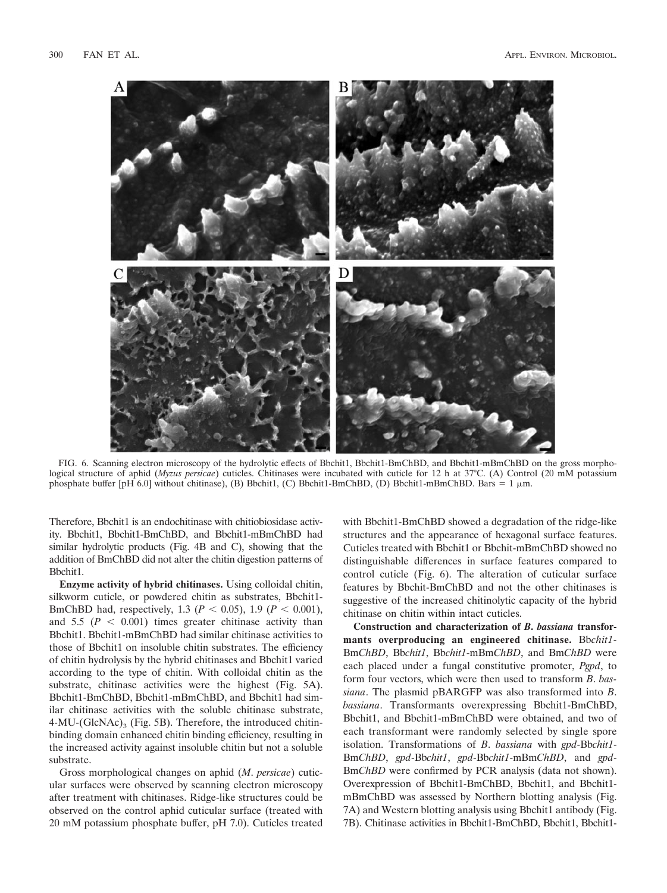

FIG. 6. Scanning electron microscopy of the hydrolytic effects of Bbchit1, Bbchit1-BmChBD, and Bbchit1-mBmChBD on the gross morphological structure of aphid (*Myzus persicae*) cuticles. Chitinases were incubated with cuticle for 12 h at 37°C. (A) Control (20 mM potassium phosphate buffer [pH 6.0] without chitinase), (B) Bbchit1, (C) Bbchit1-BmChBD, (D) Bbchit1-mBmChBD. Bars = 1  $\mu$ m.

Therefore, Bbchit1 is an endochitinase with chitiobiosidase activity. Bbchit1, Bbchit1-BmChBD, and Bbchit1-mBmChBD had similar hydrolytic products (Fig. 4B and C), showing that the addition of BmChBD did not alter the chitin digestion patterns of Bbchit1.

**Enzyme activity of hybrid chitinases.** Using colloidal chitin, silkworm cuticle, or powdered chitin as substrates, Bbchit1- BmChBD had, respectively, 1.3 ( $P < 0.05$ ), 1.9 ( $P < 0.001$ ), and  $5.5 \left( P \leq 0.001 \right)$  times greater chitinase activity than Bbchit1. Bbchit1-mBmChBD had similar chitinase activities to those of Bbchit1 on insoluble chitin substrates. The efficiency of chitin hydrolysis by the hybrid chitinases and Bbchit1 varied according to the type of chitin. With colloidal chitin as the substrate, chitinase activities were the highest (Fig. 5A). Bbchit1-BmChBD, Bbchit1-mBmChBD, and Bbchit1 had similar chitinase activities with the soluble chitinase substrate,  $4-MU$ -(GlcNAc)<sub>3</sub> (Fig. 5B). Therefore, the introduced chitinbinding domain enhanced chitin binding efficiency, resulting in the increased activity against insoluble chitin but not a soluble substrate.

Gross morphological changes on aphid (*M*. *persicae*) cuticular surfaces were observed by scanning electron microscopy after treatment with chitinases. Ridge-like structures could be observed on the control aphid cuticular surface (treated with 20 mM potassium phosphate buffer, pH 7.0). Cuticles treated

with Bbchit1-BmChBD showed a degradation of the ridge-like structures and the appearance of hexagonal surface features. Cuticles treated with Bbchit1 or Bbchit-mBmChBD showed no distinguishable differences in surface features compared to control cuticle (Fig. 6). The alteration of cuticular surface features by Bbchit-BmChBD and not the other chitinases is suggestive of the increased chitinolytic capacity of the hybrid chitinase on chitin within intact cuticles.

**Construction and characterization of** *B***.** *bassiana* **transformants overproducing an engineered chitinase.** Bb*chit1*- Bm*ChBD*, Bb*chit1*, Bb*chit1*-mBm*ChBD*, and Bm*ChBD* were each placed under a fungal constitutive promoter, *Pgpd*, to form four vectors, which were then used to transform *B*. *bassiana*. The plasmid pBARGFP was also transformed into *B*. *bassiana*. Transformants overexpressing Bbchit1-BmChBD, Bbchit1, and Bbchit1-mBmChBD were obtained, and two of each transformant were randomly selected by single spore isolation. Transformations of *B*. *bassiana* with *gpd*-Bb*chit1*- Bm*ChBD*, *gpd*-Bb*chit1*, *gpd*-Bb*chit1*-mBm*ChBD*, and *gpd*-Bm*ChBD* were confirmed by PCR analysis (data not shown). Overexpression of Bbchit1-BmChBD, Bbchit1, and Bbchit1 mBmChBD was assessed by Northern blotting analysis (Fig. 7A) and Western blotting analysis using Bbchit1 antibody (Fig. 7B). Chitinase activities in Bbchit1-BmChBD, Bbchit1, Bbchit1-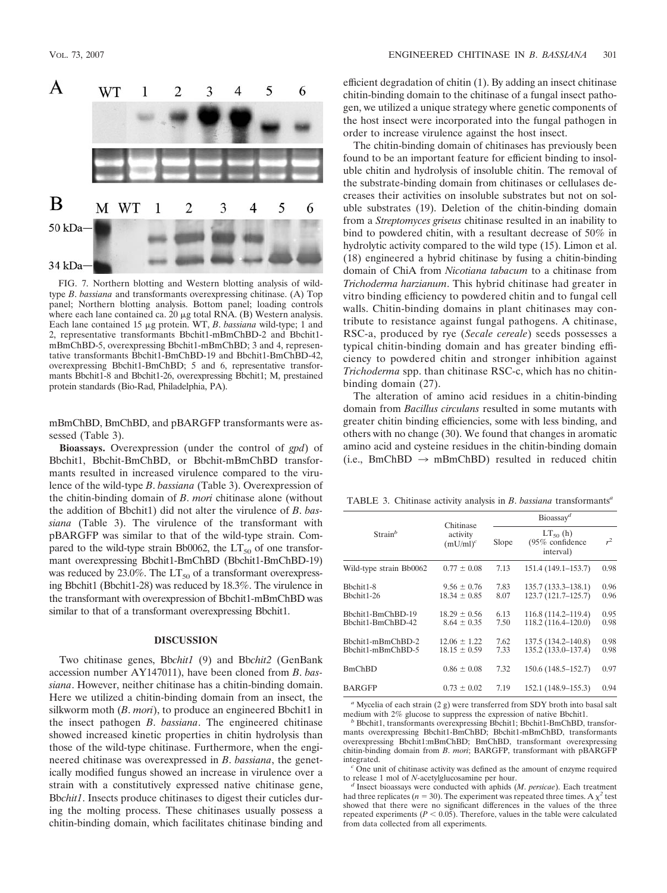

FIG. 7. Northern blotting and Western blotting analysis of wildtype *B*. *bassiana* and transformants overexpressing chitinase. (A) Top panel; Northern blotting analysis. Bottom panel; loading controls where each lane contained ca.  $20 \mu$ g total RNA. (B) Western analysis. Each lane contained 15 µg protein. WT, *B. bassiana* wild-type; 1 and 2, representative transformants Bbchit1-mBmChBD-2 and Bbchit1 mBmChBD-5, overexpressing Bbchit1-mBmChBD; 3 and 4, representative transformants Bbchit1-BmChBD-19 and Bbchit1-BmChBD-42, overexpressing Bbchit1-BmChBD; 5 and 6, representative transformants Bbchit1-8 and Bbchit1-26, overexpressing Bbchit1; M, prestained protein standards (Bio-Rad, Philadelphia, PA).

mBmChBD, BmChBD, and pBARGFP transformants were assessed (Table 3).

**Bioassays.** Overexpression (under the control of *gpd*) of Bbchit1, Bbchit-BmChBD, or Bbchit-mBmChBD transformants resulted in increased virulence compared to the virulence of the wild-type *B*. *bassiana* (Table 3). Overexpression of the chitin-binding domain of *B*. *mori* chitinase alone (without the addition of Bbchit1) did not alter the virulence of *B*. *bassiana* (Table 3). The virulence of the transformant with pBARGFP was similar to that of the wild-type strain. Compared to the wild-type strain Bb0062, the  $LT_{50}$  of one transformant overexpressing Bbchit1-BmChBD (Bbchit1-BmChBD-19) was reduced by 23.0%. The  $LT_{50}$  of a transformant overexpressing Bbchit1 (Bbchit1-28) was reduced by 18.3%. The virulence in the transformant with overexpression of Bbchit1-mBmChBD was similar to that of a transformant overexpressing Bbchit1.

## **DISCUSSION**

Two chitinase genes, Bb*chit1* (9) and Bb*chit2* (GenBank accession number AY147011), have been cloned from *B*. *bassiana*. However, neither chitinase has a chitin-binding domain. Here we utilized a chitin-binding domain from an insect, the silkworm moth (*B*. *mori*), to produce an engineered Bbchit1 in the insect pathogen *B*. *bassiana*. The engineered chitinase showed increased kinetic properties in chitin hydrolysis than those of the wild-type chitinase. Furthermore, when the engineered chitinase was overexpressed in *B*. *bassiana*, the genetically modified fungus showed an increase in virulence over a strain with a constitutively expressed native chitinase gene, Bb*chit1*. Insects produce chitinases to digest their cuticles during the molting process. These chitinases usually possess a chitin-binding domain, which facilitates chitinase binding and

efficient degradation of chitin (1). By adding an insect chitinase chitin-binding domain to the chitinase of a fungal insect pathogen, we utilized a unique strategy where genetic components of the host insect were incorporated into the fungal pathogen in order to increase virulence against the host insect.

The chitin-binding domain of chitinases has previously been found to be an important feature for efficient binding to insoluble chitin and hydrolysis of insoluble chitin. The removal of the substrate-binding domain from chitinases or cellulases decreases their activities on insoluble substrates but not on soluble substrates (19). Deletion of the chitin-binding domain from a *Streptomyces griseus* chitinase resulted in an inability to bind to powdered chitin, with a resultant decrease of 50% in hydrolytic activity compared to the wild type (15). Limon et al. (18) engineered a hybrid chitinase by fusing a chitin-binding domain of ChiA from *Nicotiana tabacum* to a chitinase from *Trichoderma harzianum*. This hybrid chitinase had greater in vitro binding efficiency to powdered chitin and to fungal cell walls. Chitin-binding domains in plant chitinases may contribute to resistance against fungal pathogens. A chitinase, RSC-a, produced by rye (*Secale cereale*) seeds possesses a typical chitin-binding domain and has greater binding efficiency to powdered chitin and stronger inhibition against *Trichoderma* spp. than chitinase RSC-c, which has no chitinbinding domain (27).

The alteration of amino acid residues in a chitin-binding domain from *Bacillus circulans* resulted in some mutants with greater chitin binding efficiencies, some with less binding, and others with no change (30). We found that changes in aromatic amino acid and cysteine residues in the chitin-binding domain (i.e., BmChBD  $\rightarrow$  mBmChBD) resulted in reduced chitin

TABLE 3. Chitinase activity analysis in *B*. *bassiana* transformants*<sup>a</sup>*

|                                        | Chitinase                            | Bioassay <sup>d</sup> |                                                |              |  |
|----------------------------------------|--------------------------------------|-----------------------|------------------------------------------------|--------------|--|
| $Strain^b$                             | activity<br>$(mU/ml)^c$              | Slope                 | $LT50$ (h)<br>$(95\%$ confidence<br>interval)  | $r^2$        |  |
| Wild-type strain Bb0062                | $0.77 \pm 0.08$                      | 7.13                  | $151.4(149.1-153.7)$                           | 0.98         |  |
| Bbchit1-8<br>Bhchit1-26                | $9.56 \pm 0.76$<br>$18.34 \pm 0.85$  | 7.83<br>8.07          | $135.7(133.3 - 138.1)$<br>$123.7(121.7-125.7)$ | 0.96<br>0.96 |  |
| Bbchit1-BmChBD-19<br>Bbchit1-BmChBD-42 | $18.29 \pm 0.56$<br>$8.64 \pm 0.35$  | 6.13<br>7.50          | 116.8 (114.2–119.4)<br>118.2(116.4–120.0)      | 0.95<br>0.98 |  |
| Bbchit1-mBmChBD-2<br>Bbchit1-mBmChBD-5 | $12.06 \pm 1.22$<br>$18.15 \pm 0.59$ | 7.62<br>7.33          | 137.5 (134.2–140.8)<br>135.2 (133.0–137.4)     | 0.98<br>0.98 |  |
| BmChBD                                 | $0.86 \pm 0.08$                      | 7.32                  | $150.6(148.5 - 152.7)$                         | 0.97         |  |
| BARGFP                                 | $0.73 \pm 0.02$                      | 7.19                  | 152.1 (148.9–155.3)                            | 0.94         |  |

*a* Mycelia of each strain  $(2 g)$  were transferred from SDY broth into basal salt medium with  $2\%$  glucose to suppress the expression of native Bbchit1.

<sup>b</sup> Bbchit1, transformants overexpressing Bbchit1; Bbchit1-BmChBD, transformants overexpressing Bbchit1-BmChBD; Bbchit1-mBmChBD, transformants overexpressing Bbchit1:mBmChBD; BmChBD, transformant overexpressing chitin-binding domain from *B*. *mori*; BARGFP, transformant with pBARGFP

 $\degree$  One unit of chitinase activity was defined as the amount of enzyme required to release 1 mol of *N*-acetylglucosamine per hour.

<sup>d</sup> Insect bioassays were conducted with aphids (*M. persicae*). Each treatment had three replicates ( $n = 30$ ). The experiment was repeated three times. A  $\chi^2$  test showed that there were no significant differences in the values of the three repeated experiments  $(P < 0.05)$ . Therefore, values in the table were calculated from data collected from all experiments.